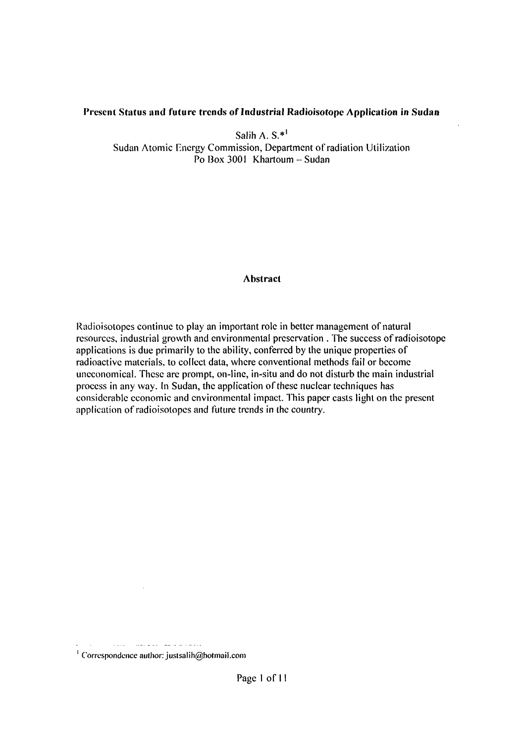### **Present Status and future trends of Industrial Radioisotope Application in Sudan**

Salih A.  $S.*^{\perp}$ Sudan Atomic Energy Commission, Department of radiation Utilization Po Box 3001 Khartoum - Sudan

### **Abstract**

Radioisotopes continue to play an important role in better management of natural resources, industrial growth and environmental preservation . The success of radioisotope applications is due primarily to the ability, conferred by the unique properties of radioactive materials, to collect data, where conventional methods fail or become uneconomical. These are prompt, on-line, in-situ and do not disturb the main industrial process in any way. In Sudan, the application of these nuclear techniques has considerable economic and environmental impact. This paper casts light on the present application of radioisotopes and future trends in the country.

الأولاق فلأعداض ستشار الاستهلاء سالك والمناور <sup>1</sup> Correspondence author: [justsalih@hotmail.com](mailto:justsalih@hotmail.com)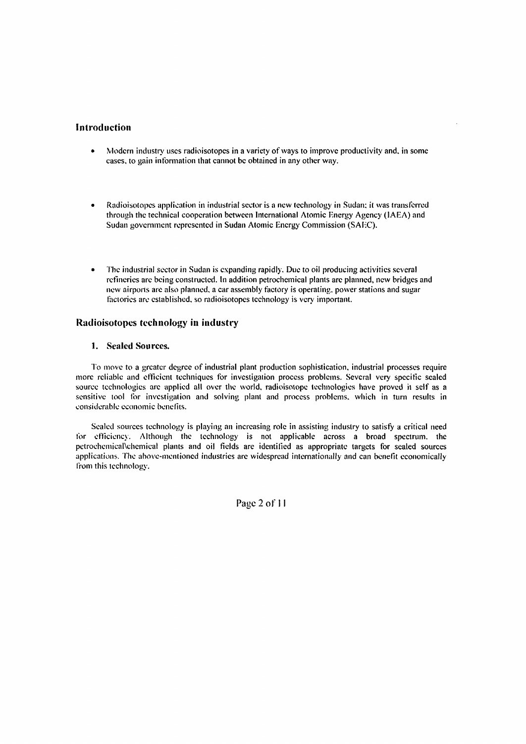#### Introduction

- Modern industry uses radioisotopes in a variety of ways to improve productivity and. in some  $\bullet$ cases, to gain information that cannot be obtained in any other way.
- Radioisotopes application in industrial sector is a new technology in Sudan: it was transferred through the technical cooperation between International Atomic Energy Agency (IAEA) and Sudan government represented in Sudan Atomic Energy Commission (SAEC).
- The industrial sector in Sudan is expanding rapidly. Due to oil producing activities several refineries are being constructed. In addition petrochemical plants are planned, new bridges and new airports are also planned, a car assembly factory is operating, power stations and sugar factories are established, so radioisotopes technology is very important.

#### Radioisotopes technology in industry

#### 1. Sealed Sources.

To move to a greater degree of industrial plant production sophistication, industrial processes require more reliable and efficient techniques for investigation process problems. Several very specific scaled source technologies arc applied all over the world, radioisotope technologies have proved it self as a sensitive tool for investigation and solving plant and process problems, which in turn results in considerable economic benefits.

Scaled sources technology is playing an increasing role in assisting industry to satisfy a critical need for efficiency. Although the technology is not applicable across a broad spectrum, the petrochemical\chemical plants and oil fields are identified as appropriate targets for sealed sources applications. The above-mentioned industries are widespread internationally and can benefit economically from this technology.

Page 2 of 11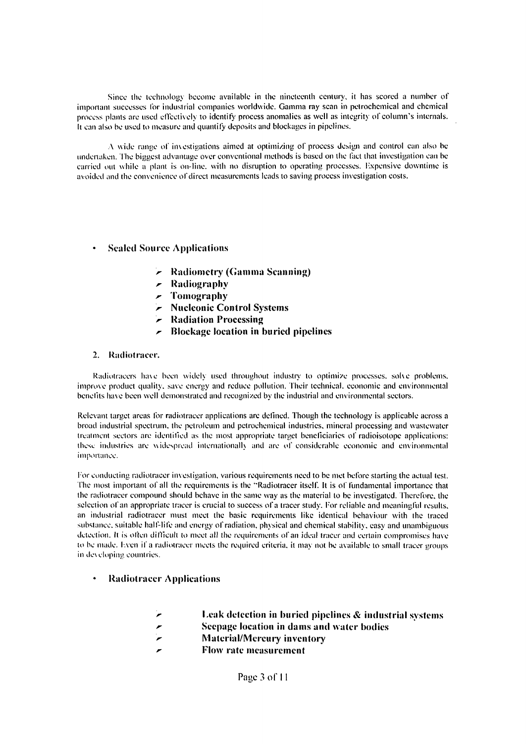Since the technology become available in the nineteenth century, it has scored a number of important successes for industrial companies worldwide. Gamma ray scan in petrochemical and chemical process plants are used effectively to identify process anomalies as well as integrity of column's internals. It can also be used to measure and quantify deposits and blockages in pipelines.

A wide range of investigations aimed at optimizing of process design and control can also be undertaken. 1 he biggest advantage over conventional methods is based on the fact that investigation can be carried out while a plant is on-line, with no disruption to operating processes. Kxpensive downtime is avoided and the convenience of direct measurements leads to saving process investigation costs.

### Scaled Source Applications

- *r* Radiometry (Gamma Scanning)
- *r* Radiography
- *r-* Tomography
- *r* Nucleonic Control Systems
- *r-* Radiation Processing
- *r* Blockage location in buried pipelines

#### 2. Radiotracer.

Radiotracers have been widely used throughout industry to optimize processes, solve problems, improve product quality, save energy and reduce pollution. Their technical, economic and environmental benefits have been well demonstrated and recognized by the industrial and environmental sectors.

Relevant target areas for radiotracer applications are defined. Though the technology is applicable across a broad industrial spectrum, the petroleum and petrochemical industries, mineral processing and wastewater treatment sectors are identified as the most appropriate target beneficiaries of radioisotope applications: these industries are widespread international!) and are *o\'* considerable economic and environmental importance.

for conducting radiotracer investigation, various requirements need to be met before starting the actual lest. The most important of all the requirements is the "Radiotracer itself. It is of fundamental importance that the radiotracer compound should behave in the same way as the material to be investigated. Therefore, the selection of an appropriate tracer is crucial to success of a tracer study. For reliable and meaningful results, an industrial radiotracer must meet the basic requirements like identical behaviour with the traced substance, suitable half-life and energy of radiation, physical and chemical stability, easy and unambiguous detection. It is often difficult to meet all the requirements of an ideal tracer and certain compromises have to be made. Even if a radiotracer meets the required criteria, it may not be available to small tracer groups in developing countries.

#### • Radiotracer Applications

- **Leak detection in buried pipelines & industrial systems**
- **Seepage location in dams and water bodies**
- **Material/Mercury inventory**
- **Flow rate measurement**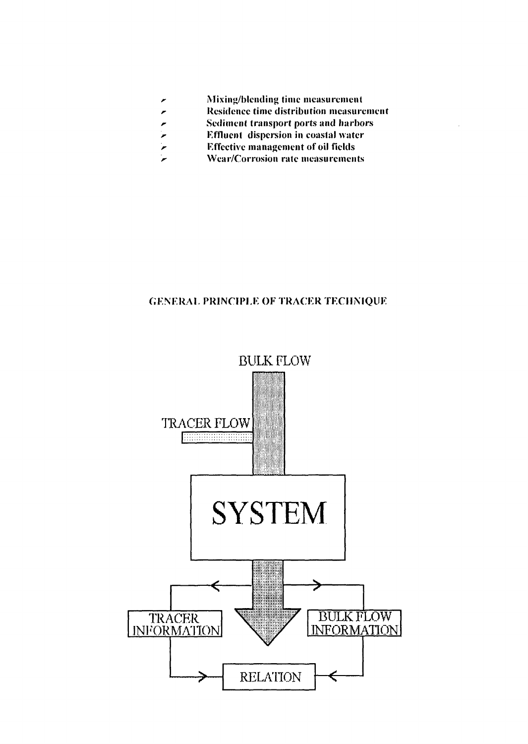- Mixing/blending time measurement ×
- Residence time distribution measurement
- Sediment transport ports and harbors
- Effluent dispersion in coastal water
- **r**  Effective management of oil fields
- **r-**Wear/Corrosion rate measurements

# GENERAL PRINCIPLE OF TRACER TECHNIQUE

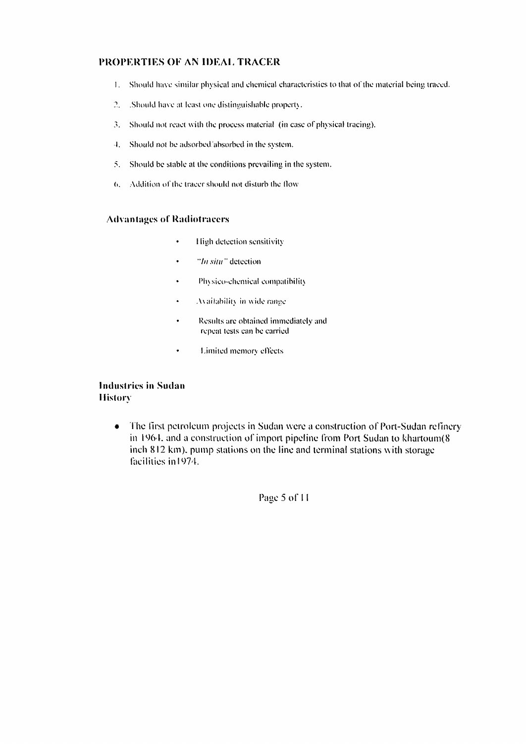#### **PROPERTIES OF AN IDEAL TRACER**

- I. Should have similar physical and chemical characteristics to that of the material being traced.
- 2. . .Should have at least one distinguishable property.
- 3. Should not react with the process material (in case of physical tracing).
- *\.* Should not be adsorbed absorbed in the system.
- 5. Should be stable at the conditions prevailing in the system.
- (>. Addition of the tracer should not disturb the How

#### **Advantages of Radiotraeers**

- $\ddot{\phantom{0}}$ 1 ligh detection sensitivity
- "//; *sim "* detection
- Physico-chemical compatibility
- Availability in wide range  $\ddot{\phantom{0}}$
- Results are obtained immediately and repeal tests can be carried
- Limited memorv effects

### **Industries in Sudan History**

• The first petroleum projects in Sudan were a construction of Port-Sudan refinery in 1964. and a construction of import pipeline from Port Sudan to khartoum(8 inch 812 km), pump stations on the line and terminal stations with storage facilities in 1974.

Page 5 of 11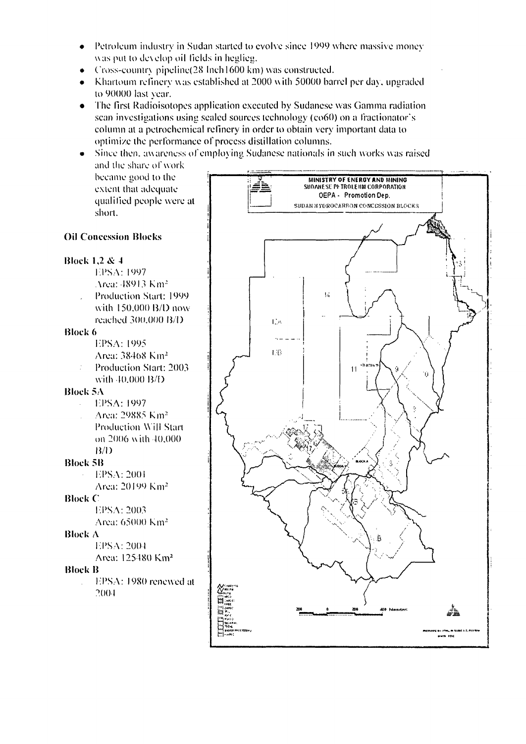- Petroleum industry in Sudan started to evolve sinee 1999 where massive money  $\bullet$ was put to develop oil fields in heglieg.
- (ross-eouiurx pipeline(28 Inch 1600 km) was eonstrueted.
- Khartoum refinery was established at 2000 with 50000 barrel per day. upgraded to 90000 last year.
- The first Radioisotopes application executed by Sudanese was Gamma radiation  $\bullet$ scan investigations using sealed sources technology (co60) on a fractionator's column at a petrochemical rellnery in order to obtain very important data to optimize the performance of process distillation columns.
- Since then, awareness of employing Sudanese nationals in such works was raised  $\bullet$ and the share of work

became good to the extent that adequate qualified people were at short.



# Oil Concession Blocks

#### Block 1,2 & 4

- l-PSA: 1997 Area: 48913 Km<sup>2</sup>
- with 150.000 B/l) now reached 300.000 **IJ/I)**

#### **Block 6**

- 
- Area: 38408 Km'
- with 40,000 B/D Block 5A
	-
	- Area: 29885 Km<sup>2</sup> Production Will Start on 2006 with 40.000 B/l)

### **Block SB**

I:PSA:200 I Area: 20199 Km<sup>2</sup>

### **Block** C

l-PSA: 2003

# **Block** A

### Block B

l-PSA: 1980 renewed at 2004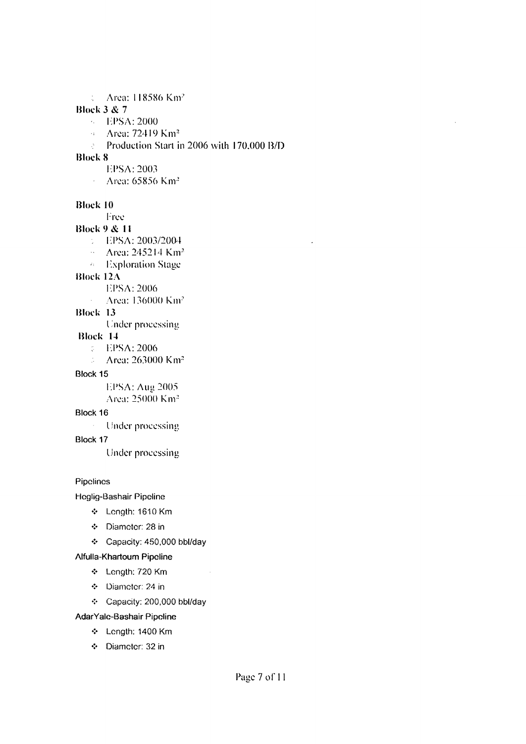; Area: 118586 Km-

### **Block 3** & 7

- l-:PSA:2000
- *-* Area: 72419 Km<sup>3</sup>
- Production Start in 2006 with 170.000 **B/D**   $\mathcal{L}^{\mathcal{L}}$

### **Block 8**

- 
- **II EPSA: 2003**<br>**I Area: 65856 Km<sup>2</sup>**

### Block 10

- **Block 10**
- Block  $9 & 11$ 
	- **Block 12003/2004**
	- **lion** Area: 245214 Km<sup>2</sup>
	- $\alpha$  Exploration Stage
- Block  $12\Lambda$ 
	- **EPSA: 2006**
	- Area: 136000 Km<sup>2</sup>  $\Delta \sim 10^4$

### Block 13

**Under processing** 

### Block 14

- **BPSA: 2006**
- $\therefore$  Area: 263000 Km<sup>2</sup>

### $\mathfrak{c}$

 $EPSA$ : Aug 2005

Area: 25000 Km<sup>2</sup>

### $\mathcal{S}$

Under processing

Under processing

Under processing

#### Pipelines

Hoglig-Bashair Pipeline

- Length: 1610 Km
- Diameter: 28 in
- Capacity: 450,000 bbl/day

### Alfuila-Khartoum Pipeline

- Length: 720 Km
- Diameter: 24 in
- Capacity: 200,000 bbl/day

 $\sim 10$ 

### AdarYale-Bashair Pipeline

- Length: 1400 Km
- •:• Diameter: 32 in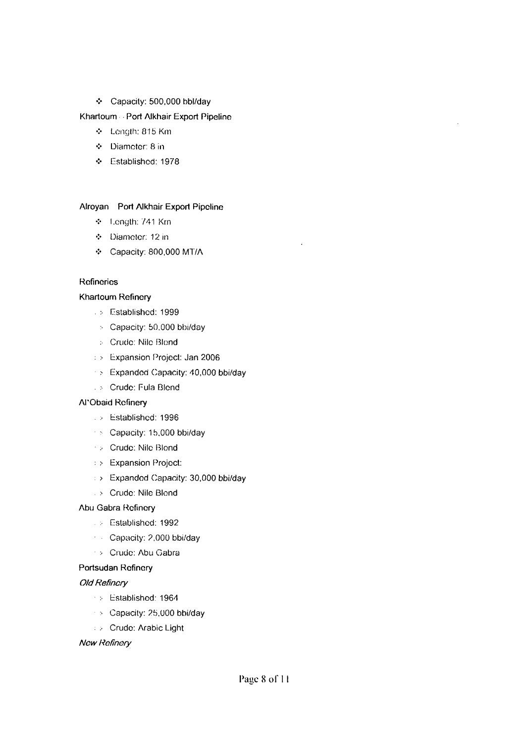### • Capacity: 500,000 bbl/day

#### Khartoum - Port Alkhair Export Pipeline

- •:• Length: 815 Km
- Diameter: 8 in
- Established: 1978

#### Alroyan Port Alkhair Export Pipeline

- $\div$  1.ength: 741 Km
- \* Diameter: 12 in
- •:• Capacity: 800,000 MT/A

#### Refineries

#### Khartoum Refinery

- . :- Established: 1999
- :• Capacity: 50.000 bbi/day
- .- Crude: Nile Blond
- : > Expansion Project: Jan 2006
- > Expanded Capacity: 40,000 bbi/day
- . > Crude: Fula Blend

#### Al'Obaid Refinery

- . > Established: 1996
- > Capacity: 15,000 bbi/day
- > Crude: Nile Blond
- : > Expansion Project:
- : > Expanded Capacity: 30,000 bbi/day
- > Crude: Nile Blond

#### Abu Gabra Refinery

- ;• Established: 1992
- Capacity: 2,000 bbi/day
- > Crude: Abu Gabra

#### Portsudan Refinery

#### Old Refinery

- :• Established: 1964
- $\rightarrow$  Capacity: 25,000 bbi/day
- : :• Crude: Arabic Light

#### New Refinery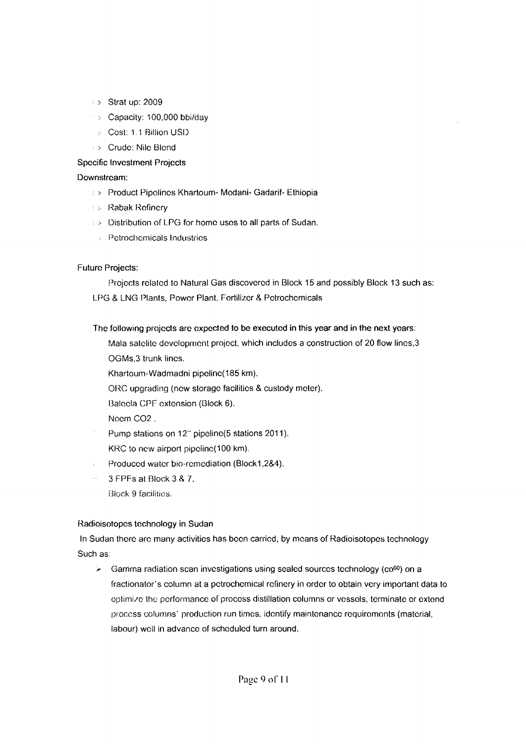- : > Strat up: 2009
- :• Capacity: 100,000 bbi/day
- ; Cost: 11 Billion USD
- : > Crude: Nile Blond

### Specific Investment Projects

#### Downstream:

- : > Product Pipelines Khartoum- Modani- Gadarif- Ethiopia
- .-• Rabak Refinery
- : > Distribution of LPG for home uses to all parts of Sudan.
	- : Petrochemicals Industries

### Future Projects:

Projects related to Natural Gas discovered in Block 15 and possibly Block 13 such as: LPG & LNG Plants, Power Plant, Fertilizer & Petrochemicals

### The following projects are expected to be executed in this year and in the next years:

- Mala satolite development project, which includes a construction of 20 flow lines,3 OGMs,3 trunk lines.
- Khartoum-Wadmadni pipeline(185 km).
- ORC upgrading (new storage facilities & custody meter).
- Baloela CPF extension (Block 6).
- Noem C02 .
- Pump stations on 12" pipeline(5 stations 2011). KRC to new airport pipclinc(100 km).
- Produced water bio-remediation (Block1,2&4).
- 3 FPFs at Block 3 & 7.
	- Block 9 facilities.

### Radioisotopes technology in Sudan

In Sudan there are many activities has been carried, by means of Radioisotopes technology Such as:

 $\sim$  Gamma radiation scan investigations using sealed sources technology (co<sup>60</sup>) on a fractionator's column at a petrochemical refinery in order to obtain very important data to optimize the performance of process distillation columns or vessels, terminate or extend process columns" production run times, identify maintenance requirements (material, labour) well in advance of scheduled turn around.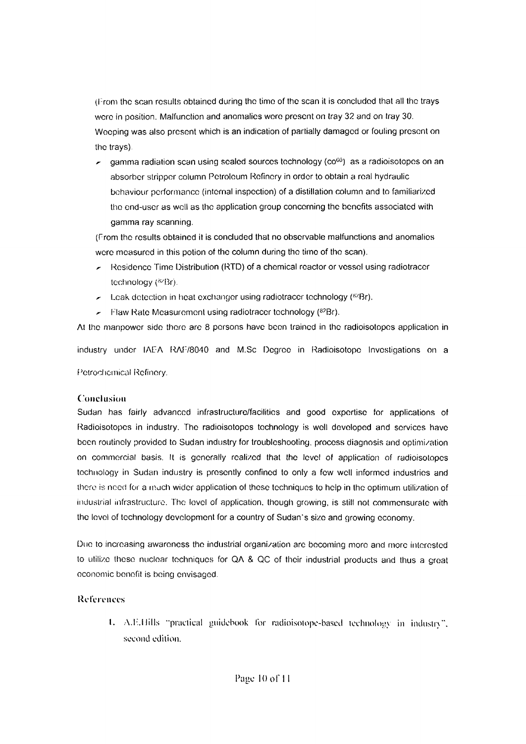(l: rom the scan results obtained during the time of the scan it is concluded that all the trays were in position. Malfunction and anomalies wore present on tray 32 and on tray 30. Weeping was also present which is an indication of partially damaged or fouling present on the trays).

gamma radiation scan using sealed sources technology ( $\cos^{0}$ ) as a radioisotopes on an absorber stripper column Petroleum Refinery in order to obtain a real hydraulic behaviour performance (internal inspection) of a distillation column and to familiarized the end-user as well as the application group concerning the benefits associated with gamma ray scanning.

(From the results obtained it is concluded that no observable malfunctions and anomalies were measured in this potion of the column during the time of the scan).

- Residence Time Distribution (RTD) of a chemical reactor or vessel using radiotracer technology (<sup>82</sup>Br).
- **Leak detection in heat exchanger using radiotracer technology (** ${}^{82}Br$ **).**
- Flaw Rate Measurement using radiotracer technology  $(^{82}Br)$ .

At the manpower side there are 8 persons have been trained in the radioisotopes application in

industry under IAEA RAF78040 and M.Sc Degree in Radioisotope Investigations on a Petrochemical Refinery.

### Conclusion

Sudan has fairly advanced infrastructure/facilities and good expertise for applications of Radioisotopes in industry. The radioisotopes technology is well developed and services have been routinely provided to Sudan industry for troubleshooting, process diagnosis and optimization on commercial basis. It is generally realized that the level of application of radioisotopes technology in Sudan industry is presently confined to only a few well informed industries and there is need for a much wider application of these techniques to help in the optimum utilization of industrial infrastructure. The level of application, though growing, is still not commensurate with the level of technology development for a country of Sudan's size and growing economy.

Due to increasing awareness the industrial organization are becoming more and more interested to utilize these nuclear techniques for QA & QC of their industrial products and thus a great economic benefit is being envisaged.

# References

1. A.E.Hills "practical guidebook for radioisotope-based technology in industry". second edition.